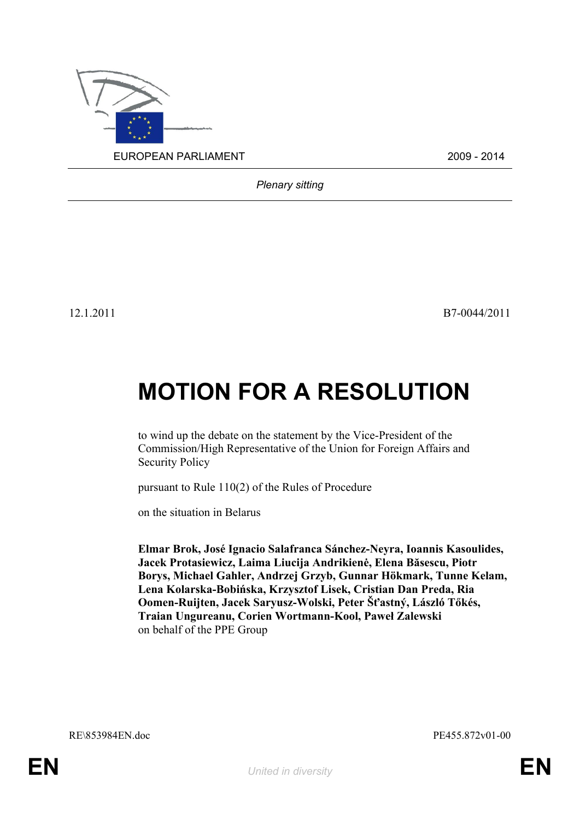

*Plenary sitting*

12.1.2011 B7-0044/2011

## **MOTION FOR A RESOLUTION**

to wind up the debate on the statement by the Vice-President of the Commission/High Representative of the Union for Foreign Affairs and Security Policy

pursuant to Rule 110(2) of the Rules of Procedure

on the situation in Belarus

<span id="page-0-0"></span>**Elmar Brok, José Ignacio Salafranca Sánchez-Neyra, Ioannis Kasoulides, Jacek Protasiewicz, Laima Liucija Andrikienė, Elena Băsescu, Piotr Borys, Michael Gahler, Andrzej Grzyb, Gunnar Hökmark, Tunne Kelam, Lena Kolarska-Bobińska, Krzysztof Lisek, Cristian Dan Preda, Ria Oomen-Ruijten, Jacek Saryusz-Wolski, Peter Šťastný, László Tőkés, Traian Ungureanu, Corien Wortmann-Kool, Paweł Zalewski** on behalf of the PPE Group

<span id="page-0-1"></span>RE\853984EN.doc PE455.872v01-00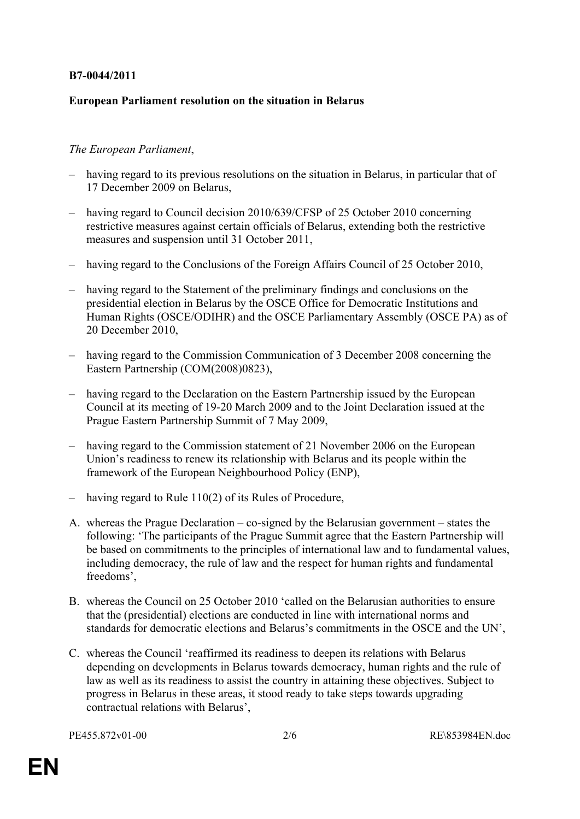## **B7-0044/2011**

## **European Parliament resolution on the situation in Belarus**

## *The European Parliament*,

- having regard to its previous resolutions on the situation in Belarus, in particular that of 17 December 2009 on Belarus,
- having regard to Council decision 2010/639/CFSP of 25 October 2010 concerning restrictive measures against certain officials of Belarus, extending both the restrictive measures and suspension until 31 October 2011,
- having regard to the Conclusions of the Foreign Affairs Council of 25 October 2010,
- having regard to the Statement of the preliminary findings and conclusions on the presidential election in Belarus by the OSCE Office for Democratic Institutions and Human Rights (OSCE/ODIHR) and the OSCE Parliamentary Assembly (OSCE PA) as of 20 December 2010,
- having regard to the Commission Communication of 3 December 2008 concerning the Eastern Partnership (COM(2008)0823),
- having regard to the Declaration on the Eastern Partnership issued by the European Council at its meeting of 19-20 March 2009 and to the Joint Declaration issued at the Prague Eastern Partnership Summit of 7 May 2009,
- having regard to the Commission statement of 21 November 2006 on the European Union's readiness to renew its relationship with Belarus and its people within the framework of the European Neighbourhood Policy (ENP),
- having regard to Rule 110(2) of its Rules of Procedure,
- A. whereas the Prague Declaration co-signed by the Belarusian government states the following: 'The participants of the Prague Summit agree that the Eastern Partnership will be based on commitments to the principles of international law and to fundamental values, including democracy, the rule of law and the respect for human rights and fundamental freedoms',
- B. whereas the Council on 25 October 2010 'called on the Belarusian authorities to ensure that the (presidential) elections are conducted in line with international norms and standards for democratic elections and Belarus's commitments in the OSCE and the UN',
- C. whereas the Council 'reaffirmed its readiness to deepen its relations with Belarus depending on developments in Belarus towards democracy, human rights and the rule of law as well as its readiness to assist the country in attaining these objectives. Subject to progress in Belarus in these areas, it stood ready to take steps towards upgrading contractual relations with Belarus',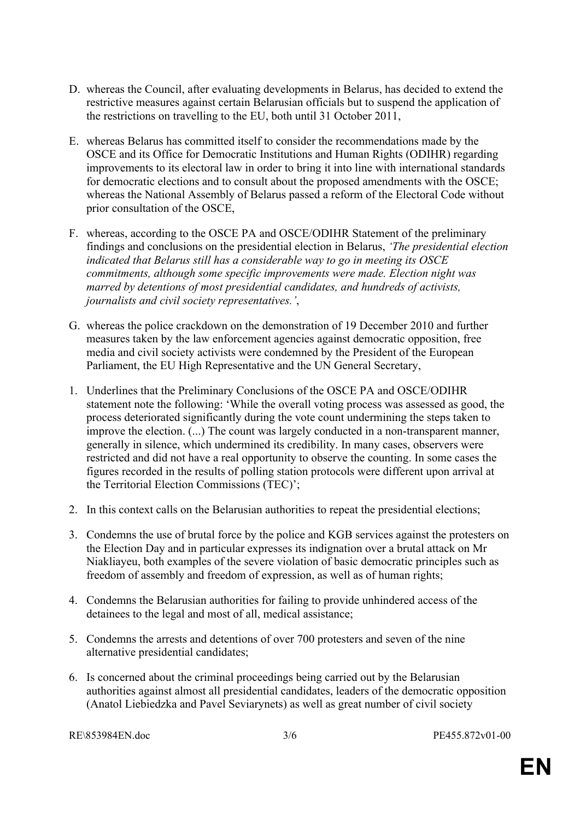- D. whereas the Council, after evaluating developments in Belarus, has decided to extend the restrictive measures against certain Belarusian officials but to suspend the application of the restrictions on travelling to the EU, both until 31 October 2011,
- E. whereas Belarus has committed itself to consider the recommendations made by the OSCE and its Office for Democratic Institutions and Human Rights (ODIHR) regarding improvements to its electoral law in order to bring it into line with international standards for democratic elections and to consult about the proposed amendments with the OSCE; whereas the National Assembly of Belarus passed a reform of the Electoral Code without prior consultation of the OSCE,
- F. whereas, according to the OSCE PA and OSCE/ODIHR Statement of the preliminary findings and conclusions on the presidential election in Belarus, *'The presidential election indicated that Belarus still has a considerable way to go in meeting its OSCE commitments, although some specific improvements were made. Election night was marred by detentions of most presidential candidates, and hundreds of activists, journalists and civil society representatives.'*,
- G. whereas the police crackdown on the demonstration of 19 December 2010 and further measures taken by the law enforcement agencies against democratic opposition, free media and civil society activists were condemned by the President of the European Parliament, the EU High Representative and the UN General Secretary,
- 1. Underlines that the Preliminary Conclusions of the OSCE PA and OSCE/ODIHR statement note the following: 'While the overall voting process was assessed as good, the process deteriorated significantly during the vote count undermining the steps taken to improve the election. (...) The count was largely conducted in a non-transparent manner, generally in silence, which undermined its credibility. In many cases, observers were restricted and did not have a real opportunity to observe the counting. In some cases the figures recorded in the results of polling station protocols were different upon arrival at the Territorial Election Commissions (TEC)';
- 2. In this context calls on the Belarusian authorities to repeat the presidential elections;
- 3. Condemns the use of brutal force by the police and KGB services against the protesters on the Election Day and in particular expresses its indignation over a brutal attack on Mr Niakliayeu, both examples of the severe violation of basic democratic principles such as freedom of assembly and freedom of expression, as well as of human rights;
- 4. Condemns the Belarusian authorities for failing to provide unhindered access of the detainees to the legal and most of all, medical assistance;
- 5. Condemns the arrests and detentions of over 700 protesters and seven of the nine alternative presidential candidates;
- 6. Is concerned about the criminal proceedings being carried out by the Belarusian authorities against almost all presidential candidates, leaders of the democratic opposition (Anatol Liebiedzka and Pavel Seviarynets) as well as great number of civil society

```
RE\853984EN.doc 3/6 PE455.872v01-00
```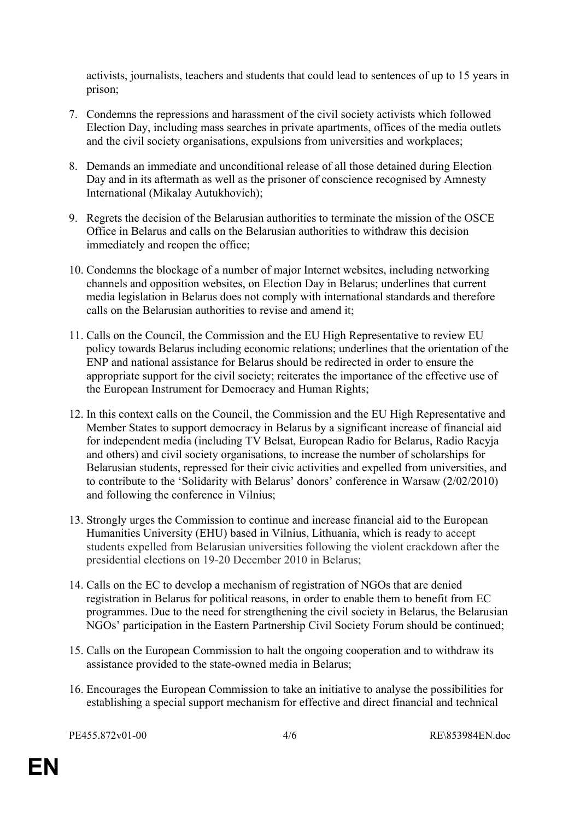activists, journalists, teachers and students that could lead to sentences of up to 15 years in prison;

- 7. Condemns the repressions and harassment of the civil society activists which followed Election Day, including mass searches in private apartments, offices of the media outlets and the civil society organisations, expulsions from universities and workplaces;
- 8. Demands an immediate and unconditional release of all those detained during Election Day and in its aftermath as well as the prisoner of conscience recognised by Amnesty International (Mikalay Autukhovich);
- 9. Regrets the decision of the Belarusian authorities to terminate the mission of the OSCE Office in Belarus and calls on the Belarusian authorities to withdraw this decision immediately and reopen the office;
- 10. Condemns the blockage of a number of major Internet websites, including networking channels and opposition websites, on Election Day in Belarus; underlines that current media legislation in Belarus does not comply with international standards and therefore calls on the Belarusian authorities to revise and amend it;
- 11. Calls on the Council, the Commission and the EU High Representative to review EU policy towards Belarus including economic relations; underlines that the orientation of the ENP and national assistance for Belarus should be redirected in order to ensure the appropriate support for the civil society; reiterates the importance of the effective use of the European Instrument for Democracy and Human Rights;
- 12. In this context calls on the Council, the Commission and the EU High Representative and Member States to support democracy in Belarus by a significant increase of financial aid for independent media (including TV Belsat, European Radio for Belarus, Radio Racyja and others) and civil society organisations, to increase the number of scholarships for Belarusian students, repressed for their civic activities and expelled from universities, and to contribute to the 'Solidarity with Belarus' donors' conference in Warsaw (2/02/2010) and following the conference in Vilnius;
- 13. Strongly urges the Commission to continue and increase financial aid to the European Humanities University (EHU) based in Vilnius, Lithuania, which is ready to accept students expelled from Belarusian universities following the violent crackdown after the presidential elections on 19-20 December 2010 in Belarus;
- 14. Calls on the EC to develop a mechanism of registration of NGOs that are denied registration in Belarus for political reasons, in order to enable them to benefit from EC programmes. Due to the need for strengthening the civil society in Belarus, the Belarusian NGOs' participation in the Eastern Partnership Civil Society Forum should be continued;
- 15. Calls on the European Commission to halt the ongoing cooperation and to withdraw its assistance provided to the state-owned media in Belarus;
- 16. Encourages the European Commission to take an initiative to analyse the possibilities for establishing a special support mechanism for effective and direct financial and technical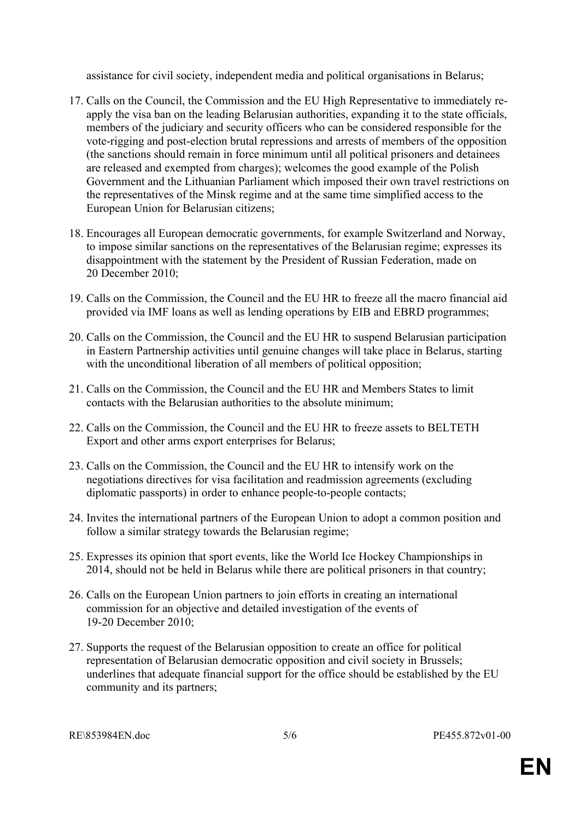assistance for civil society, independent media and political organisations in Belarus;

- 17. Calls on the Council, the Commission and the EU High Representative to immediately reapply the visa ban on the leading Belarusian authorities, expanding it to the state officials, members of the judiciary and security officers who can be considered responsible for the vote-rigging and post-election brutal repressions and arrests of members of the opposition (the sanctions should remain in force minimum until all political prisoners and detainees are released and exempted from charges); welcomes the good example of the Polish Government and the Lithuanian Parliament which imposed their own travel restrictions on the representatives of the Minsk regime and at the same time simplified access to the European Union for Belarusian citizens;
- 18. Encourages all European democratic governments, for example Switzerland and Norway, to impose similar sanctions on the representatives of the Belarusian regime; expresses its disappointment with the statement by the President of Russian Federation, made on 20 December 2010;
- 19. Calls on the Commission, the Council and the EU HR to freeze all the macro financial aid provided via IMF loans as well as lending operations by EIB and EBRD programmes;
- 20. Calls on the Commission, the Council and the EU HR to suspend Belarusian participation in Eastern Partnership activities until genuine changes will take place in Belarus, starting with the unconditional liberation of all members of political opposition;
- 21. Calls on the Commission, the Council and the EU HR and Members States to limit contacts with the Belarusian authorities to the absolute minimum;
- 22. Calls on the Commission, the Council and the EU HR to freeze assets to BELTETH Export and other arms export enterprises for Belarus;
- 23. Calls on the Commission, the Council and the EU HR to intensify work on the negotiations directives for visa facilitation and readmission agreements (excluding diplomatic passports) in order to enhance people-to-people contacts;
- 24. Invites the international partners of the European Union to adopt a common position and follow a similar strategy towards the Belarusian regime;
- 25. Expresses its opinion that sport events, like the World Ice Hockey Championships in 2014, should not be held in Belarus while there are political prisoners in that country;
- 26. Calls on the European Union partners to join efforts in creating an international commission for an objective and detailed investigation of the events of 19-20 December 2010;
- 27. Supports the request of the Belarusian opposition to create an office for political representation of Belarusian democratic opposition and civil society in Brussels; underlines that adequate financial support for the office should be established by the EU community and its partners;